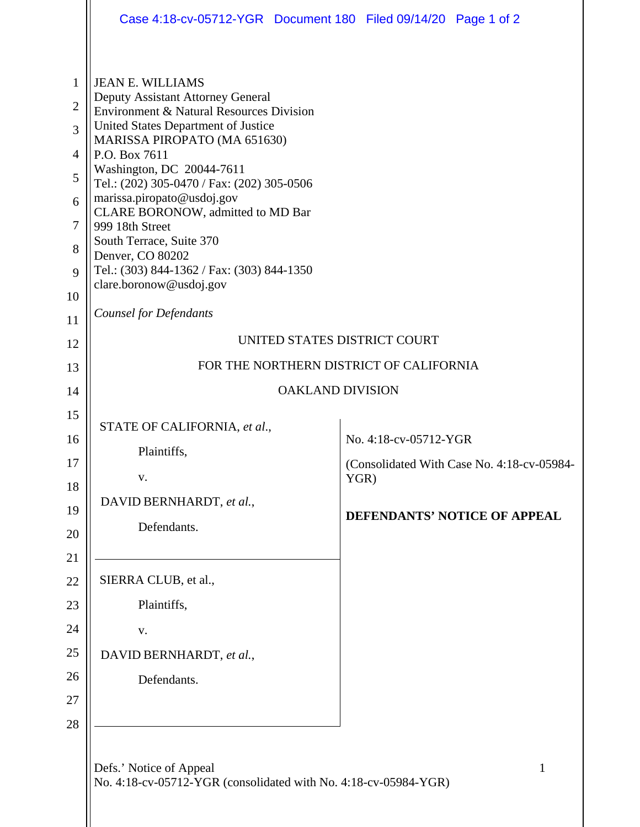|                                                                                                        | Case 4:18-cv-05712-YGR  Document 180  Filed 09/14/20  Page 1 of 2                                                                                                                                                                                                                                                                                                                                                                                                                                                    |                               |                                                                            |  |
|--------------------------------------------------------------------------------------------------------|----------------------------------------------------------------------------------------------------------------------------------------------------------------------------------------------------------------------------------------------------------------------------------------------------------------------------------------------------------------------------------------------------------------------------------------------------------------------------------------------------------------------|-------------------------------|----------------------------------------------------------------------------|--|
| $\mathbf{1}$<br>$\overline{2}$<br>$\overline{3}$<br>$\overline{4}$<br>5<br>6<br>$\tau$<br>8<br>9<br>10 | <b>JEAN E. WILLIAMS</b><br>Deputy Assistant Attorney General<br>Environment & Natural Resources Division<br>United States Department of Justice<br>MARISSA PIROPATO (MA 651630)<br>P.O. Box 7611<br>Washington, DC 20044-7611<br>Tel.: (202) 305-0470 / Fax: (202) 305-0506<br>marissa.piropato@usdoj.gov<br>CLARE BORONOW, admitted to MD Bar<br>999 18th Street<br>South Terrace, Suite 370<br>Denver, CO 80202<br>Tel.: (303) 844-1362 / Fax: (303) 844-1350<br>clare.boronow@usdoj.gov<br>Counsel for Defendants |                               |                                                                            |  |
| 11                                                                                                     | UNITED STATES DISTRICT COURT                                                                                                                                                                                                                                                                                                                                                                                                                                                                                         |                               |                                                                            |  |
| 12<br>13                                                                                               | FOR THE NORTHERN DISTRICT OF CALIFORNIA                                                                                                                                                                                                                                                                                                                                                                                                                                                                              |                               |                                                                            |  |
| 14                                                                                                     | <b>OAKLAND DIVISION</b>                                                                                                                                                                                                                                                                                                                                                                                                                                                                                              |                               |                                                                            |  |
| 15<br>16<br>17<br>18<br>19<br>20<br>21                                                                 | STATE OF CALIFORNIA, et al.,<br>Plaintiffs,<br>${\bf V}$ .<br>DAVID BERNHARDT, et al.,<br>Defendants.                                                                                                                                                                                                                                                                                                                                                                                                                | No. 4:18-cv-05712-YGR<br>YGR) | (Consolidated With Case No. 4:18-cv-05984-<br>DEFENDANTS' NOTICE OF APPEAL |  |
| 22                                                                                                     | SIERRA CLUB, et al.,                                                                                                                                                                                                                                                                                                                                                                                                                                                                                                 |                               |                                                                            |  |
| 23                                                                                                     | Plaintiffs,                                                                                                                                                                                                                                                                                                                                                                                                                                                                                                          |                               |                                                                            |  |
| 24                                                                                                     | V.                                                                                                                                                                                                                                                                                                                                                                                                                                                                                                                   |                               |                                                                            |  |
| 25                                                                                                     | DAVID BERNHARDT, et al.,                                                                                                                                                                                                                                                                                                                                                                                                                                                                                             |                               |                                                                            |  |
| 26                                                                                                     | Defendants.                                                                                                                                                                                                                                                                                                                                                                                                                                                                                                          |                               |                                                                            |  |
| 27                                                                                                     |                                                                                                                                                                                                                                                                                                                                                                                                                                                                                                                      |                               |                                                                            |  |
| 28                                                                                                     |                                                                                                                                                                                                                                                                                                                                                                                                                                                                                                                      |                               |                                                                            |  |
|                                                                                                        | Defs.' Notice of Appeal                                                                                                                                                                                                                                                                                                                                                                                                                                                                                              |                               | 1                                                                          |  |

No. 4:18-cv-05712-YGR (consolidated with No. 4:18-cv-05984-YGR)